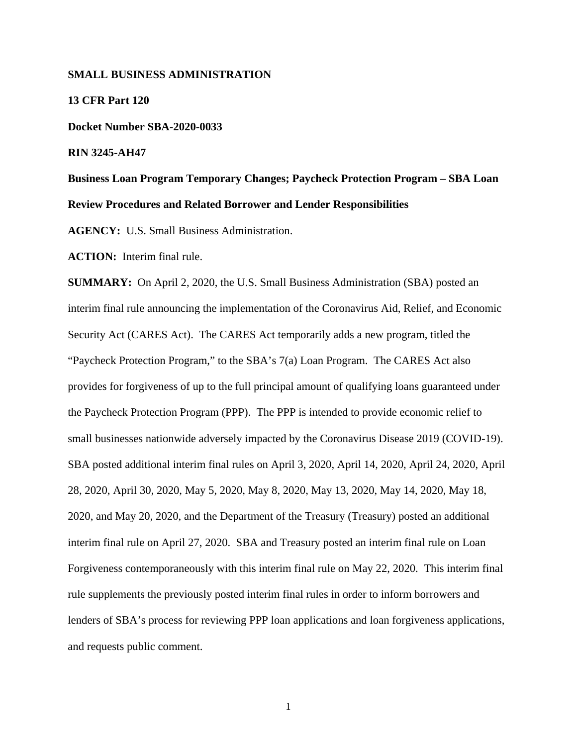#### **SMALL BUSINESS ADMINISTRATION**

**13 CFR Part 120 Docket Number SBA-2020-0033 RIN 3245-AH47 Business Loan Program Temporary Changes; Paycheck Protection Program – SBA Loan Review Procedures and Related Borrower and Lender Responsibilities** 

**AGENCY:** U.S. Small Business Administration.

**ACTION:** Interim final rule.

**SUMMARY:** On April 2, 2020, the U.S. Small Business Administration (SBA) posted an interim final rule announcing the implementation of the Coronavirus Aid, Relief, and Economic Security Act (CARES Act). The CARES Act temporarily adds a new program, titled the "Paycheck Protection Program," to the SBA's 7(a) Loan Program. The CARES Act also provides for forgiveness of up to the full principal amount of qualifying loans guaranteed under the Paycheck Protection Program (PPP). The PPP is intended to provide economic relief to small businesses nationwide adversely impacted by the Coronavirus Disease 2019 (COVID-19). SBA posted additional interim final rules on April 3, 2020, April 14, 2020, April 24, 2020, April 28, 2020, April 30, 2020, May 5, 2020, May 8, 2020, May 13, 2020, May 14, 2020, May 18, 2020, and May 20, 2020, and the Department of the Treasury (Treasury) posted an additional interim final rule on April 27, 2020. SBA and Treasury posted an interim final rule on Loan Forgiveness contemporaneously with this interim final rule on May 22, 2020. This interim final rule supplements the previously posted interim final rules in order to inform borrowers and lenders of SBA's process for reviewing PPP loan applications and loan forgiveness applications, and requests public comment.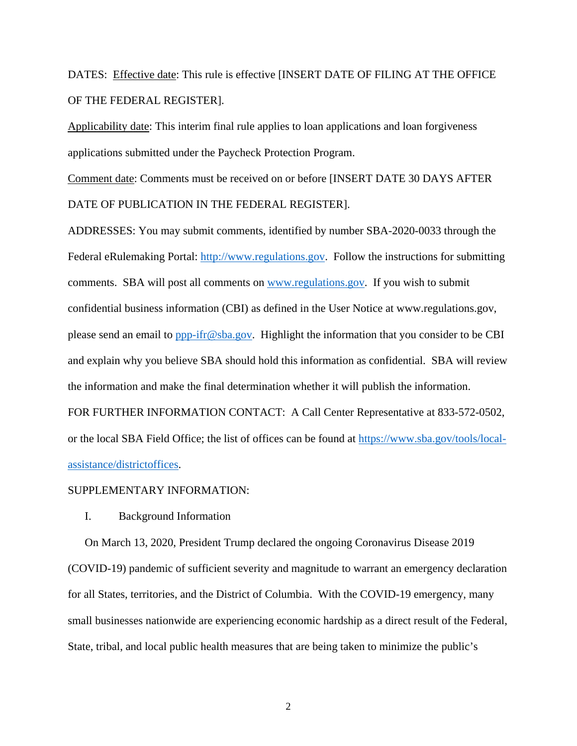DATES: Effective date: This rule is effective [INSERT DATE OF FILING AT THE OFFICE OF THE FEDERAL REGISTER].

Applicability date: This interim final rule applies to loan applications and loan forgiveness applications submitted under the Paycheck Protection Program.

Comment date: Comments must be received on or before [INSERT DATE 30 DAYS AFTER DATE OF PUBLICATION IN THE FEDERAL REGISTER].

ADDRESSES: You may submit comments, identified by number SBA-2020-0033 through the Federal eRulemaking Portal: http://www.regulations.gov. Follow the instructions for submitting comments. SBA will post all comments on www.regulations.gov. If you wish to submit confidential business information (CBI) as defined in the User Notice at www.regulations.gov, please send an email to ppp-ifr@sba.gov. Highlight the information that you consider to be CBI and explain why you believe SBA should hold this information as confidential. SBA will review the information and make the final determination whether it will publish the information. FOR FURTHER INFORMATION CONTACT: A Call Center Representative at 833-572-0502, or the local SBA Field Office; the list of offices can be found at https://www.sba.gov/tools/localassistance/districtoffices.

#### SUPPLEMENTARY INFORMATION:

I. Background Information

On March 13, 2020, President Trump declared the ongoing Coronavirus Disease 2019 (COVID-19) pandemic of sufficient severity and magnitude to warrant an emergency declaration for all States, territories, and the District of Columbia. With the COVID-19 emergency, many small businesses nationwide are experiencing economic hardship as a direct result of the Federal, State, tribal, and local public health measures that are being taken to minimize the public's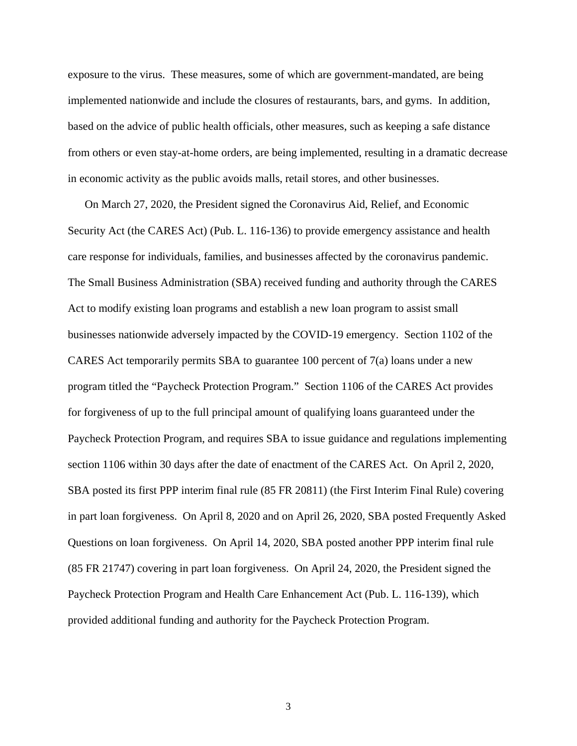exposure to the virus. These measures, some of which are government-mandated, are being implemented nationwide and include the closures of restaurants, bars, and gyms. In addition, based on the advice of public health officials, other measures, such as keeping a safe distance from others or even stay-at-home orders, are being implemented, resulting in a dramatic decrease in economic activity as the public avoids malls, retail stores, and other businesses.

On March 27, 2020, the President signed the Coronavirus Aid, Relief, and Economic Security Act (the CARES Act) (Pub. L. 116-136) to provide emergency assistance and health care response for individuals, families, and businesses affected by the coronavirus pandemic. The Small Business Administration (SBA) received funding and authority through the CARES Act to modify existing loan programs and establish a new loan program to assist small businesses nationwide adversely impacted by the COVID-19 emergency. Section 1102 of the CARES Act temporarily permits SBA to guarantee 100 percent of 7(a) loans under a new program titled the "Paycheck Protection Program." Section 1106 of the CARES Act provides for forgiveness of up to the full principal amount of qualifying loans guaranteed under the Paycheck Protection Program, and requires SBA to issue guidance and regulations implementing section 1106 within 30 days after the date of enactment of the CARES Act. On April 2, 2020, SBA posted its first PPP interim final rule (85 FR 20811) (the First Interim Final Rule) covering in part loan forgiveness. On April 8, 2020 and on April 26, 2020, SBA posted Frequently Asked Questions on loan forgiveness. On April 14, 2020, SBA posted another PPP interim final rule (85 FR 21747) covering in part loan forgiveness. On April 24, 2020, the President signed the Paycheck Protection Program and Health Care Enhancement Act (Pub. L. 116-139), which provided additional funding and authority for the Paycheck Protection Program.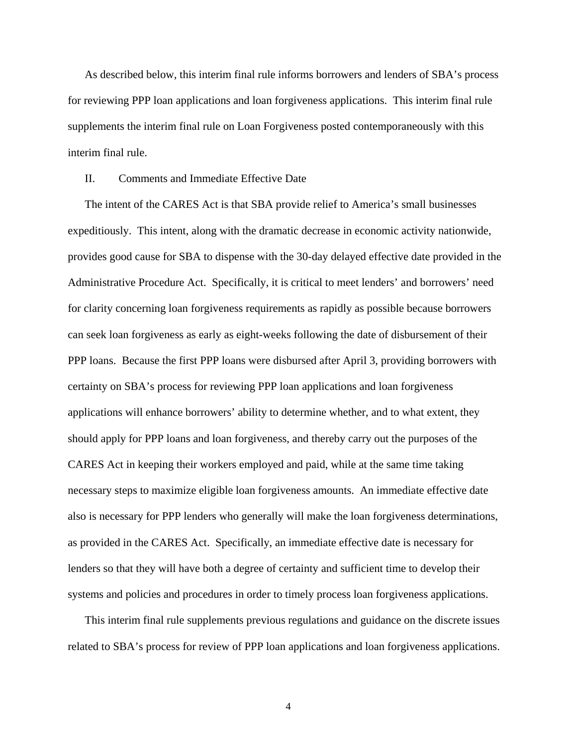As described below, this interim final rule informs borrowers and lenders of SBA's process for reviewing PPP loan applications and loan forgiveness applications. This interim final rule supplements the interim final rule on Loan Forgiveness posted contemporaneously with this interim final rule.

## II. Comments and Immediate Effective Date

The intent of the CARES Act is that SBA provide relief to America's small businesses expeditiously. This intent, along with the dramatic decrease in economic activity nationwide, provides good cause for SBA to dispense with the 30-day delayed effective date provided in the Administrative Procedure Act. Specifically, it is critical to meet lenders' and borrowers' need for clarity concerning loan forgiveness requirements as rapidly as possible because borrowers can seek loan forgiveness as early as eight-weeks following the date of disbursement of their PPP loans. Because the first PPP loans were disbursed after April 3, providing borrowers with certainty on SBA's process for reviewing PPP loan applications and loan forgiveness applications will enhance borrowers' ability to determine whether, and to what extent, they should apply for PPP loans and loan forgiveness, and thereby carry out the purposes of the CARES Act in keeping their workers employed and paid, while at the same time taking necessary steps to maximize eligible loan forgiveness amounts. An immediate effective date also is necessary for PPP lenders who generally will make the loan forgiveness determinations, as provided in the CARES Act. Specifically, an immediate effective date is necessary for lenders so that they will have both a degree of certainty and sufficient time to develop their systems and policies and procedures in order to timely process loan forgiveness applications.

This interim final rule supplements previous regulations and guidance on the discrete issues related to SBA's process for review of PPP loan applications and loan forgiveness applications.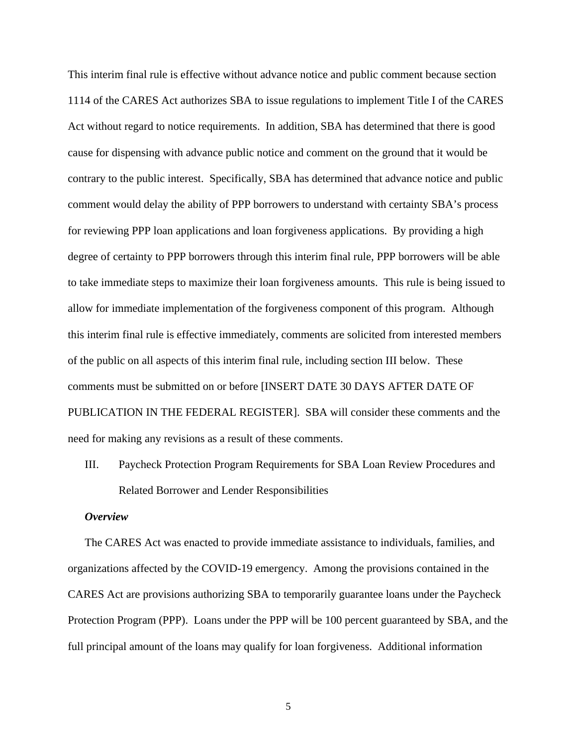This interim final rule is effective without advance notice and public comment because section 1114 of the CARES Act authorizes SBA to issue regulations to implement Title I of the CARES Act without regard to notice requirements. In addition, SBA has determined that there is good cause for dispensing with advance public notice and comment on the ground that it would be contrary to the public interest. Specifically, SBA has determined that advance notice and public comment would delay the ability of PPP borrowers to understand with certainty SBA's process for reviewing PPP loan applications and loan forgiveness applications. By providing a high degree of certainty to PPP borrowers through this interim final rule, PPP borrowers will be able to take immediate steps to maximize their loan forgiveness amounts. This rule is being issued to allow for immediate implementation of the forgiveness component of this program. Although this interim final rule is effective immediately, comments are solicited from interested members of the public on all aspects of this interim final rule, including section III below. These comments must be submitted on or before [INSERT DATE 30 DAYS AFTER DATE OF PUBLICATION IN THE FEDERAL REGISTER]. SBA will consider these comments and the need for making any revisions as a result of these comments.

III. Paycheck Protection Program Requirements for SBA Loan Review Procedures and Related Borrower and Lender Responsibilities

#### *Overview*

The CARES Act was enacted to provide immediate assistance to individuals, families, and organizations affected by the COVID-19 emergency. Among the provisions contained in the CARES Act are provisions authorizing SBA to temporarily guarantee loans under the Paycheck Protection Program (PPP). Loans under the PPP will be 100 percent guaranteed by SBA, and the full principal amount of the loans may qualify for loan forgiveness. Additional information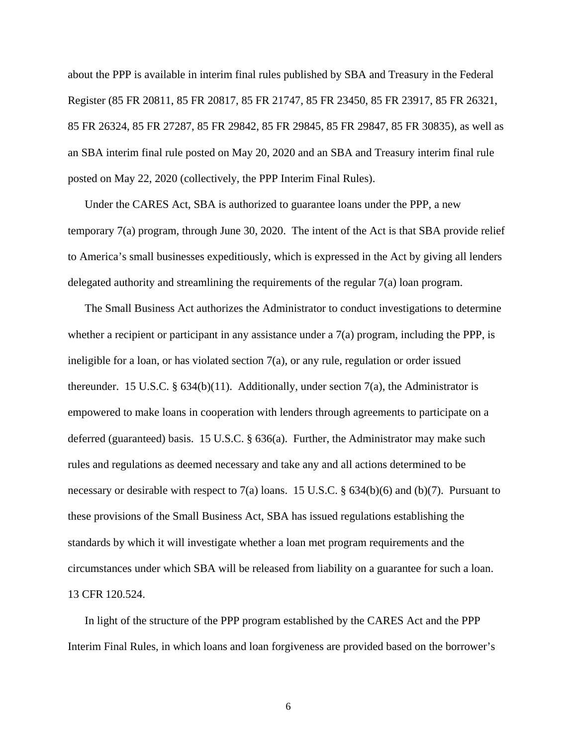about the PPP is available in interim final rules published by SBA and Treasury in the Federal Register (85 FR 20811, 85 FR 20817, 85 FR 21747, 85 FR 23450, 85 FR 23917, 85 FR 26321, 85 FR 26324, 85 FR 27287, 85 FR 29842, 85 FR 29845, 85 FR 29847, 85 FR 30835), as well as an SBA interim final rule posted on May 20, 2020 and an SBA and Treasury interim final rule posted on May 22, 2020 (collectively, the PPP Interim Final Rules).

Under the CARES Act, SBA is authorized to guarantee loans under the PPP, a new temporary 7(a) program, through June 30, 2020. The intent of the Act is that SBA provide relief to America's small businesses expeditiously, which is expressed in the Act by giving all lenders delegated authority and streamlining the requirements of the regular 7(a) loan program.

The Small Business Act authorizes the Administrator to conduct investigations to determine whether a recipient or participant in any assistance under a  $7(a)$  program, including the PPP, is ineligible for a loan, or has violated section  $7(a)$ , or any rule, regulation or order issued thereunder. 15 U.S.C. §  $634(b)(11)$ . Additionally, under section 7(a), the Administrator is empowered to make loans in cooperation with lenders through agreements to participate on a deferred (guaranteed) basis. 15 U.S.C. § 636(a). Further, the Administrator may make such rules and regulations as deemed necessary and take any and all actions determined to be necessary or desirable with respect to 7(a) loans. 15 U.S.C. § 634(b)(6) and (b)(7). Pursuant to these provisions of the Small Business Act, SBA has issued regulations establishing the standards by which it will investigate whether a loan met program requirements and the circumstances under which SBA will be released from liability on a guarantee for such a loan. 13 CFR 120.524.

In light of the structure of the PPP program established by the CARES Act and the PPP Interim Final Rules, in which loans and loan forgiveness are provided based on the borrower's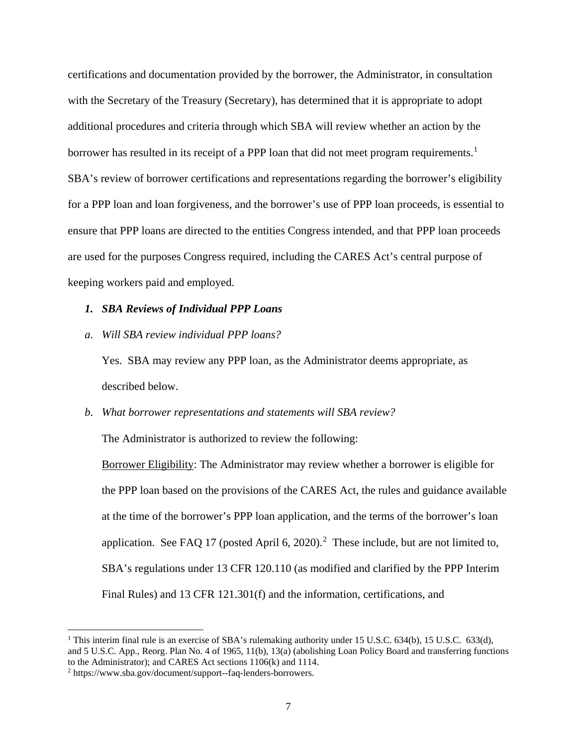certifications and documentation provided by the borrower, the Administrator, in consultation with the Secretary of the Treasury (Secretary), has determined that it is appropriate to adopt additional procedures and criteria through which SBA will review whether an action by the borrower has resulted in its receipt of a PPP loan that did not meet program requirements.<sup>[1](#page-6-0)</sup> SBA's review of borrower certifications and representations regarding the borrower's eligibility for a PPP loan and loan forgiveness, and the borrower's use of PPP loan proceeds, is essential to ensure that PPP loans are directed to the entities Congress intended, and that PPP loan proceeds are used for the purposes Congress required, including the CARES Act's central purpose of keeping workers paid and employed.

## *1. SBA Reviews of Individual PPP Loans*

*a. Will SBA review individual PPP loans?*

Yes. SBA may review any PPP loan, as the Administrator deems appropriate, as described below.

#### *b. What borrower representations and statements will SBA review?*

The Administrator is authorized to review the following:

Borrower Eligibility: The Administrator may review whether a borrower is eligible for the PPP loan based on the provisions of the CARES Act, the rules and guidance available at the time of the borrower's PPP loan application, and the terms of the borrower's loan application. See FAQ 17 (posted April 6, [2](#page-6-1)020).<sup>2</sup> These include, but are not limited to, SBA's regulations under 13 CFR 120.110 (as modified and clarified by the PPP Interim Final Rules) and 13 CFR 121.301(f) and the information, certifications, and

l

<span id="page-6-0"></span><sup>&</sup>lt;sup>1</sup> This interim final rule is an exercise of SBA's rulemaking authority under 15 U.S.C. 634(b), 15 U.S.C. 633(d), and 5 U.S.C. App., Reorg. Plan No. 4 of 1965, 11(b), 13(a) (abolishing Loan Policy Board and transferring functions to the Administrator); and CARES Act sections 1106(k) and 1114.

<span id="page-6-1"></span><sup>2</sup> https://www.sba.gov/document/support--faq-lenders-borrowers.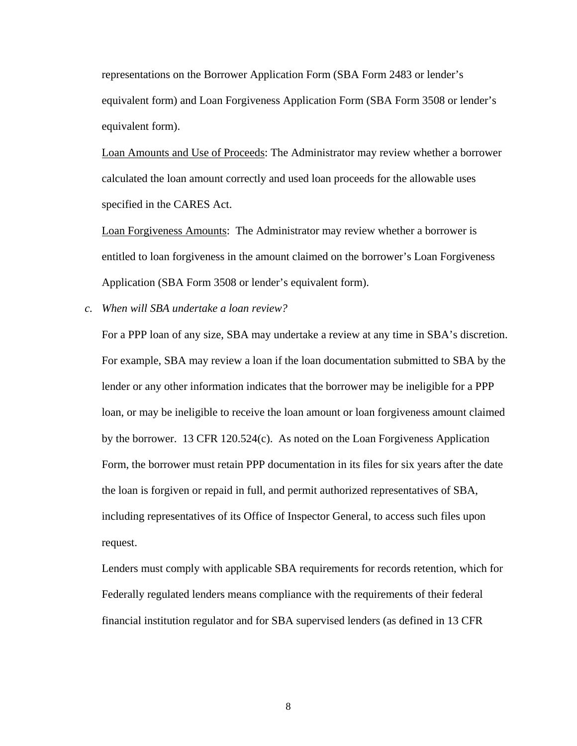representations on the Borrower Application Form (SBA Form 2483 or lender's equivalent form) and Loan Forgiveness Application Form (SBA Form 3508 or lender's equivalent form).

Loan Amounts and Use of Proceeds: The Administrator may review whether a borrower calculated the loan amount correctly and used loan proceeds for the allowable uses specified in the CARES Act.

Loan Forgiveness Amounts: The Administrator may review whether a borrower is entitled to loan forgiveness in the amount claimed on the borrower's Loan Forgiveness Application (SBA Form 3508 or lender's equivalent form).

*c. When will SBA undertake a loan review?*

For a PPP loan of any size, SBA may undertake a review at any time in SBA's discretion. For example, SBA may review a loan if the loan documentation submitted to SBA by the lender or any other information indicates that the borrower may be ineligible for a PPP loan, or may be ineligible to receive the loan amount or loan forgiveness amount claimed by the borrower. 13 CFR 120.524(c). As noted on the Loan Forgiveness Application Form, the borrower must retain PPP documentation in its files for six years after the date the loan is forgiven or repaid in full, and permit authorized representatives of SBA, including representatives of its Office of Inspector General, to access such files upon request.

Lenders must comply with applicable SBA requirements for records retention, which for Federally regulated lenders means compliance with the requirements of their federal financial institution regulator and for SBA supervised lenders (as defined in 13 CFR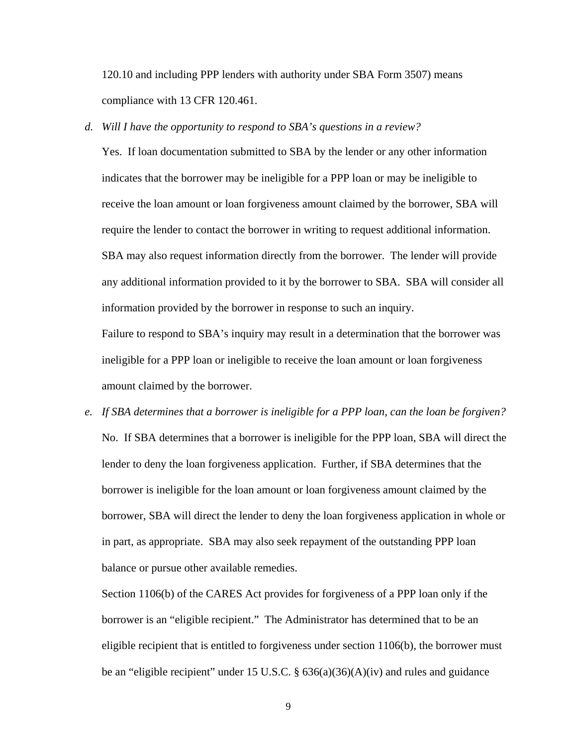120.10 and including PPP lenders with authority under SBA Form 3507) means compliance with 13 CFR 120.461.

# *d. Will I have the opportunity to respond to SBA's questions in a review?*

Yes. If loan documentation submitted to SBA by the lender or any other information indicates that the borrower may be ineligible for a PPP loan or may be ineligible to receive the loan amount or loan forgiveness amount claimed by the borrower, SBA will require the lender to contact the borrower in writing to request additional information. SBA may also request information directly from the borrower. The lender will provide any additional information provided to it by the borrower to SBA. SBA will consider all information provided by the borrower in response to such an inquiry.

Failure to respond to SBA's inquiry may result in a determination that the borrower was ineligible for a PPP loan or ineligible to receive the loan amount or loan forgiveness amount claimed by the borrower.

*e. If SBA determines that a borrower is ineligible for a PPP loan, can the loan be forgiven?*  No. If SBA determines that a borrower is ineligible for the PPP loan, SBA will direct the lender to deny the loan forgiveness application. Further, if SBA determines that the borrower is ineligible for the loan amount or loan forgiveness amount claimed by the borrower, SBA will direct the lender to deny the loan forgiveness application in whole or in part, as appropriate. SBA may also seek repayment of the outstanding PPP loan balance or pursue other available remedies.

Section 1106(b) of the CARES Act provides for forgiveness of a PPP loan only if the borrower is an "eligible recipient." The Administrator has determined that to be an eligible recipient that is entitled to forgiveness under section 1106(b), the borrower must be an "eligible recipient" under 15 U.S.C.  $\S$  636(a)(36)(A)(iv) and rules and guidance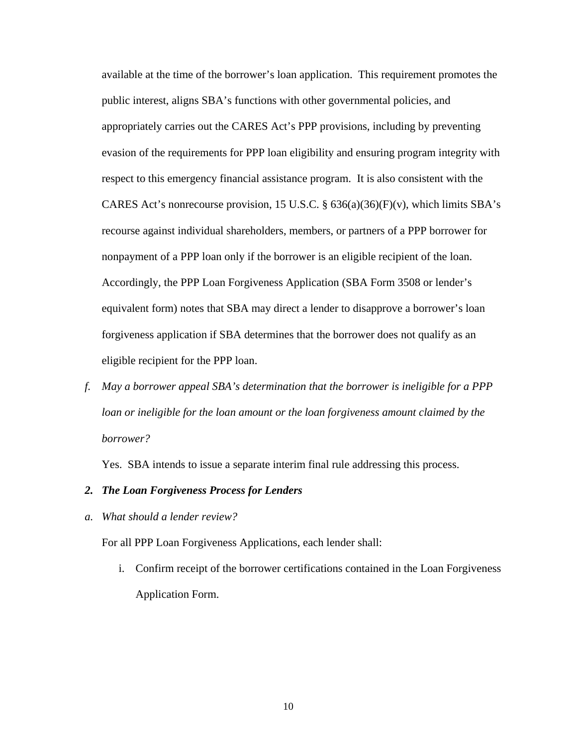available at the time of the borrower's loan application. This requirement promotes the public interest, aligns SBA's functions with other governmental policies, and appropriately carries out the CARES Act's PPP provisions, including by preventing evasion of the requirements for PPP loan eligibility and ensuring program integrity with respect to this emergency financial assistance program. It is also consistent with the CARES Act's nonrecourse provision, 15 U.S.C.  $\S$  636(a)(36)(F)(v), which limits SBA's recourse against individual shareholders, members, or partners of a PPP borrower for nonpayment of a PPP loan only if the borrower is an eligible recipient of the loan. Accordingly, the PPP Loan Forgiveness Application (SBA Form 3508 or lender's equivalent form) notes that SBA may direct a lender to disapprove a borrower's loan forgiveness application if SBA determines that the borrower does not qualify as an eligible recipient for the PPP loan.

*f. May a borrower appeal SBA's determination that the borrower is ineligible for a PPP loan or ineligible for the loan amount or the loan forgiveness amount claimed by the borrower?*

Yes. SBA intends to issue a separate interim final rule addressing this process.

## *2. The Loan Forgiveness Process for Lenders*

*a. What should a lender review?* 

For all PPP Loan Forgiveness Applications, each lender shall:

i. Confirm receipt of the borrower certifications contained in the Loan Forgiveness Application Form.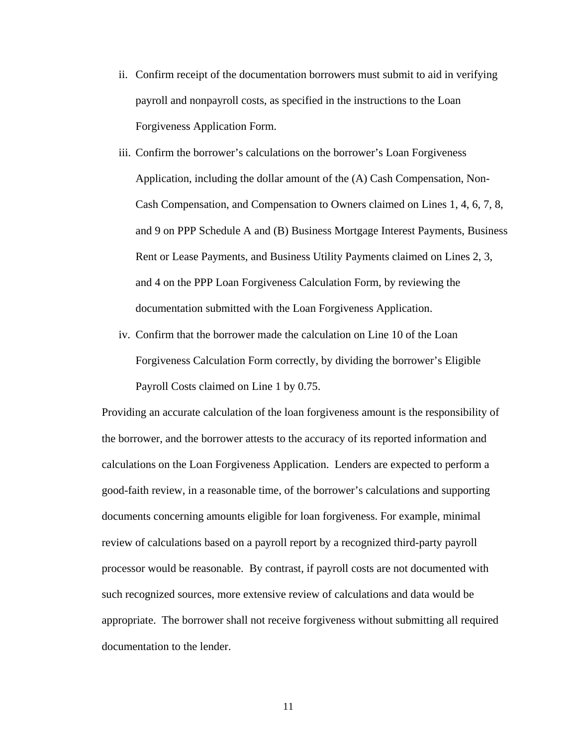- ii. Confirm receipt of the documentation borrowers must submit to aid in verifying payroll and nonpayroll costs, as specified in the instructions to the Loan Forgiveness Application Form.
- iii. Confirm the borrower's calculations on the borrower's Loan Forgiveness Application, including the dollar amount of the (A) Cash Compensation, Non-Cash Compensation, and Compensation to Owners claimed on Lines 1, 4, 6, 7, 8, and 9 on PPP Schedule A and (B) Business Mortgage Interest Payments, Business Rent or Lease Payments, and Business Utility Payments claimed on Lines 2, 3, and 4 on the PPP Loan Forgiveness Calculation Form, by reviewing the documentation submitted with the Loan Forgiveness Application.
- iv. Confirm that the borrower made the calculation on Line 10 of the Loan Forgiveness Calculation Form correctly, by dividing the borrower's Eligible Payroll Costs claimed on Line 1 by 0.75.

Providing an accurate calculation of the loan forgiveness amount is the responsibility of the borrower, and the borrower attests to the accuracy of its reported information and calculations on the Loan Forgiveness Application. Lenders are expected to perform a good-faith review, in a reasonable time, of the borrower's calculations and supporting documents concerning amounts eligible for loan forgiveness. For example, minimal review of calculations based on a payroll report by a recognized third-party payroll processor would be reasonable. By contrast, if payroll costs are not documented with such recognized sources, more extensive review of calculations and data would be appropriate. The borrower shall not receive forgiveness without submitting all required documentation to the lender.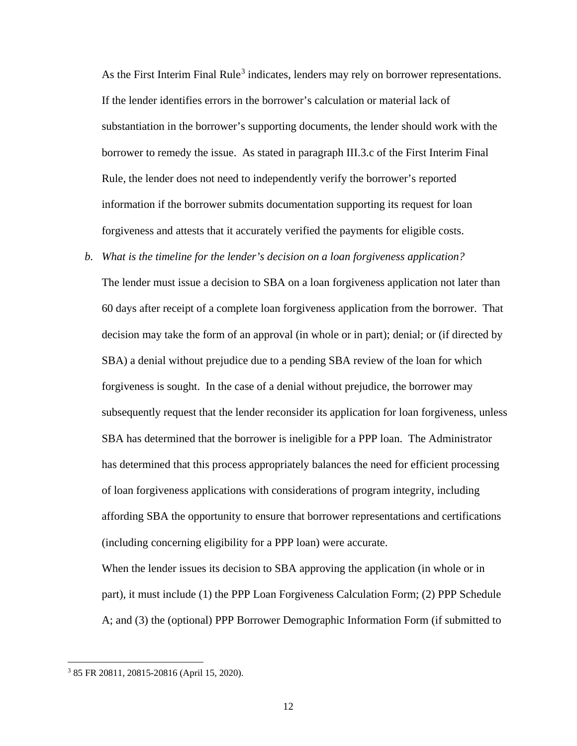As the First Interim Final Rule<sup>[3](#page-11-0)</sup> indicates, lenders may rely on borrower representations. If the lender identifies errors in the borrower's calculation or material lack of substantiation in the borrower's supporting documents, the lender should work with the borrower to remedy the issue. As stated in paragraph III.3.c of the First Interim Final Rule, the lender does not need to independently verify the borrower's reported information if the borrower submits documentation supporting its request for loan forgiveness and attests that it accurately verified the payments for eligible costs.

*b. What is the timeline for the lender's decision on a loan forgiveness application?* The lender must issue a decision to SBA on a loan forgiveness application not later than 60 days after receipt of a complete loan forgiveness application from the borrower. That decision may take the form of an approval (in whole or in part); denial; or (if directed by SBA) a denial without prejudice due to a pending SBA review of the loan for which forgiveness is sought. In the case of a denial without prejudice, the borrower may subsequently request that the lender reconsider its application for loan forgiveness, unless SBA has determined that the borrower is ineligible for a PPP loan. The Administrator has determined that this process appropriately balances the need for efficient processing of loan forgiveness applications with considerations of program integrity, including affording SBA the opportunity to ensure that borrower representations and certifications (including concerning eligibility for a PPP loan) were accurate.

When the lender issues its decision to SBA approving the application (in whole or in part), it must include (1) the PPP Loan Forgiveness Calculation Form; (2) PPP Schedule A; and (3) the (optional) PPP Borrower Demographic Information Form (if submitted to

l

<span id="page-11-0"></span><sup>3</sup> 85 FR 20811, 20815-20816 (April 15, 2020).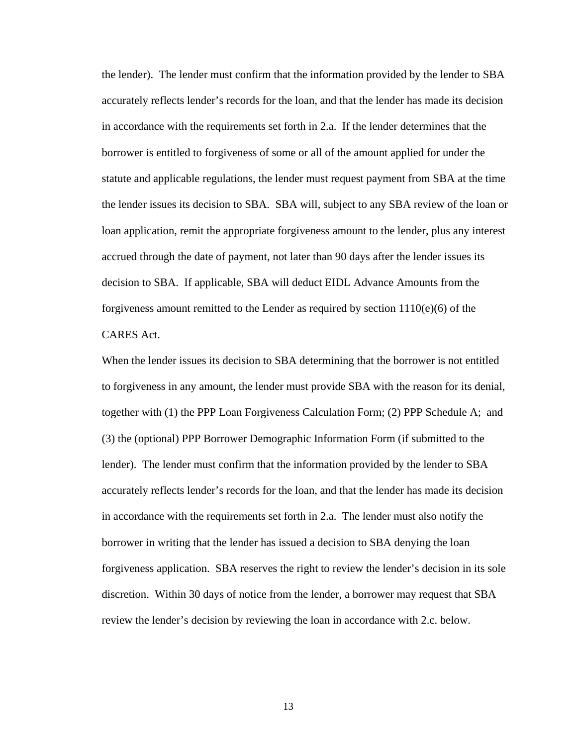the lender). The lender must confirm that the information provided by the lender to SBA accurately reflects lender's records for the loan, and that the lender has made its decision in accordance with the requirements set forth in 2.a. If the lender determines that the borrower is entitled to forgiveness of some or all of the amount applied for under the statute and applicable regulations, the lender must request payment from SBA at the time the lender issues its decision to SBA. SBA will, subject to any SBA review of the loan or loan application, remit the appropriate forgiveness amount to the lender, plus any interest accrued through the date of payment, not later than 90 days after the lender issues its decision to SBA. If applicable, SBA will deduct EIDL Advance Amounts from the forgiveness amount remitted to the Lender as required by section  $1110(e)(6)$  of the CARES Act.

When the lender issues its decision to SBA determining that the borrower is not entitled to forgiveness in any amount, the lender must provide SBA with the reason for its denial, together with (1) the PPP Loan Forgiveness Calculation Form; (2) PPP Schedule A; and (3) the (optional) PPP Borrower Demographic Information Form (if submitted to the lender). The lender must confirm that the information provided by the lender to SBA accurately reflects lender's records for the loan, and that the lender has made its decision in accordance with the requirements set forth in 2.a. The lender must also notify the borrower in writing that the lender has issued a decision to SBA denying the loan forgiveness application. SBA reserves the right to review the lender's decision in its sole discretion. Within 30 days of notice from the lender, a borrower may request that SBA review the lender's decision by reviewing the loan in accordance with 2.c. below.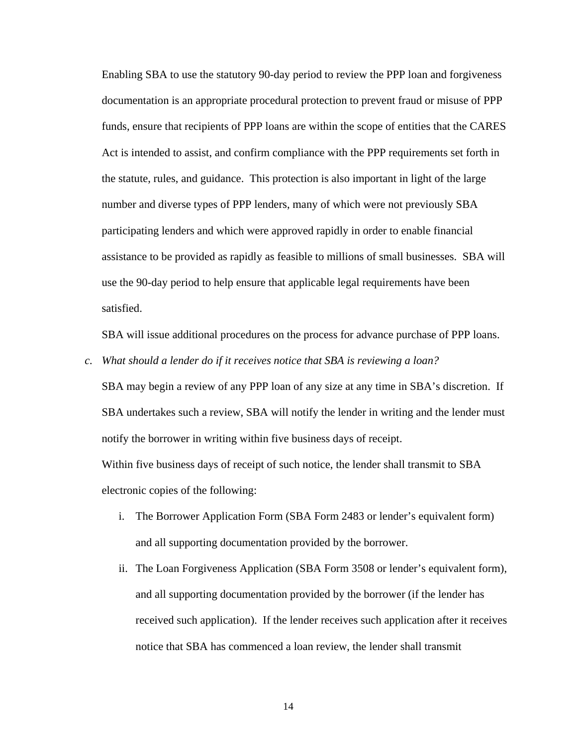Enabling SBA to use the statutory 90-day period to review the PPP loan and forgiveness documentation is an appropriate procedural protection to prevent fraud or misuse of PPP funds, ensure that recipients of PPP loans are within the scope of entities that the CARES Act is intended to assist, and confirm compliance with the PPP requirements set forth in the statute, rules, and guidance. This protection is also important in light of the large number and diverse types of PPP lenders, many of which were not previously SBA participating lenders and which were approved rapidly in order to enable financial assistance to be provided as rapidly as feasible to millions of small businesses. SBA will use the 90-day period to help ensure that applicable legal requirements have been satisfied.

SBA will issue additional procedures on the process for advance purchase of PPP loans.

*c. What should a lender do if it receives notice that SBA is reviewing a loan?* 

SBA may begin a review of any PPP loan of any size at any time in SBA's discretion. If SBA undertakes such a review, SBA will notify the lender in writing and the lender must notify the borrower in writing within five business days of receipt.

Within five business days of receipt of such notice, the lender shall transmit to SBA electronic copies of the following:

- i. The Borrower Application Form (SBA Form 2483 or lender's equivalent form) and all supporting documentation provided by the borrower.
- ii. The Loan Forgiveness Application (SBA Form 3508 or lender's equivalent form), and all supporting documentation provided by the borrower (if the lender has received such application). If the lender receives such application after it receives notice that SBA has commenced a loan review, the lender shall transmit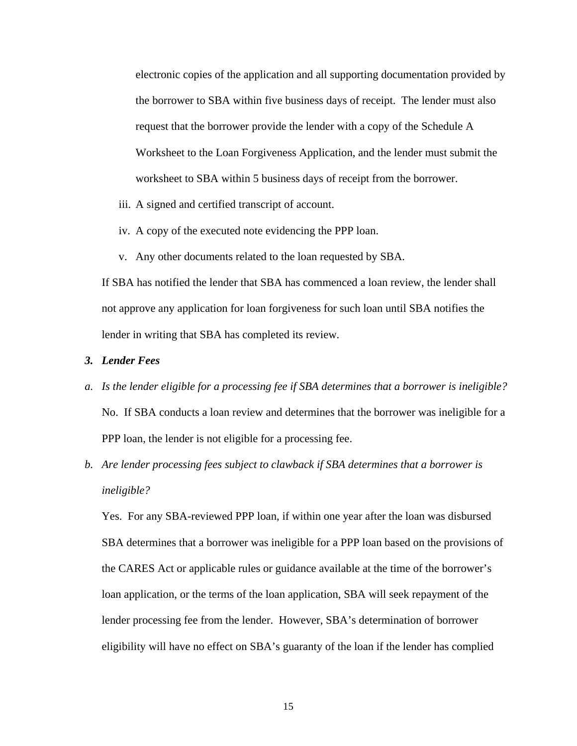electronic copies of the application and all supporting documentation provided by the borrower to SBA within five business days of receipt. The lender must also request that the borrower provide the lender with a copy of the Schedule A Worksheet to the Loan Forgiveness Application, and the lender must submit the worksheet to SBA within 5 business days of receipt from the borrower.

- iii. A signed and certified transcript of account.
- iv. A copy of the executed note evidencing the PPP loan.
- v. Any other documents related to the loan requested by SBA.

If SBA has notified the lender that SBA has commenced a loan review, the lender shall not approve any application for loan forgiveness for such loan until SBA notifies the lender in writing that SBA has completed its review.

## *3. Lender Fees*

- *a. Is the lender eligible for a processing fee if SBA determines that a borrower is ineligible?* No. If SBA conducts a loan review and determines that the borrower was ineligible for a PPP loan, the lender is not eligible for a processing fee.
- *b. Are lender processing fees subject to clawback if SBA determines that a borrower is ineligible?*

Yes. For any SBA-reviewed PPP loan, if within one year after the loan was disbursed SBA determines that a borrower was ineligible for a PPP loan based on the provisions of the CARES Act or applicable rules or guidance available at the time of the borrower's loan application, or the terms of the loan application, SBA will seek repayment of the lender processing fee from the lender. However, SBA's determination of borrower eligibility will have no effect on SBA's guaranty of the loan if the lender has complied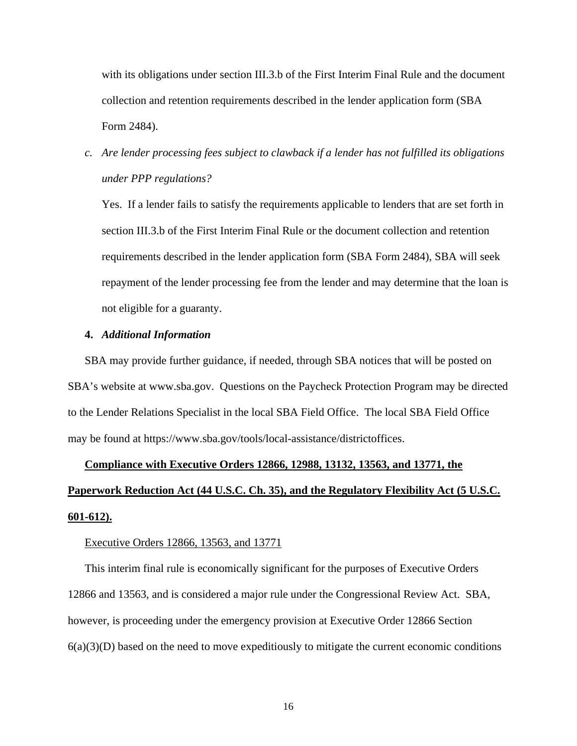with its obligations under section III.3.b of the First Interim Final Rule and the document collection and retention requirements described in the lender application form (SBA Form 2484).

*c. Are lender processing fees subject to clawback if a lender has not fulfilled its obligations under PPP regulations?*

Yes. If a lender fails to satisfy the requirements applicable to lenders that are set forth in section III.3.b of the First Interim Final Rule or the document collection and retention requirements described in the lender application form (SBA Form 2484), SBA will seek repayment of the lender processing fee from the lender and may determine that the loan is not eligible for a guaranty.

## **4.** *Additional Information*

SBA may provide further guidance, if needed, through SBA notices that will be posted on SBA's website at www.sba.gov. Questions on the Paycheck Protection Program may be directed to the Lender Relations Specialist in the local SBA Field Office. The local SBA Field Office may be found at https://www.sba.gov/tools/local-assistance/districtoffices.

# **Compliance with Executive Orders 12866, 12988, 13132, 13563, and 13771, the Paperwork Reduction Act (44 U.S.C. Ch. 35), and the Regulatory Flexibility Act (5 U.S.C. 601-612).**

#### Executive Orders 12866, 13563, and 13771

This interim final rule is economically significant for the purposes of Executive Orders 12866 and 13563, and is considered a major rule under the Congressional Review Act. SBA, however, is proceeding under the emergency provision at Executive Order 12866 Section  $6(a)(3)(D)$  based on the need to move expeditiously to mitigate the current economic conditions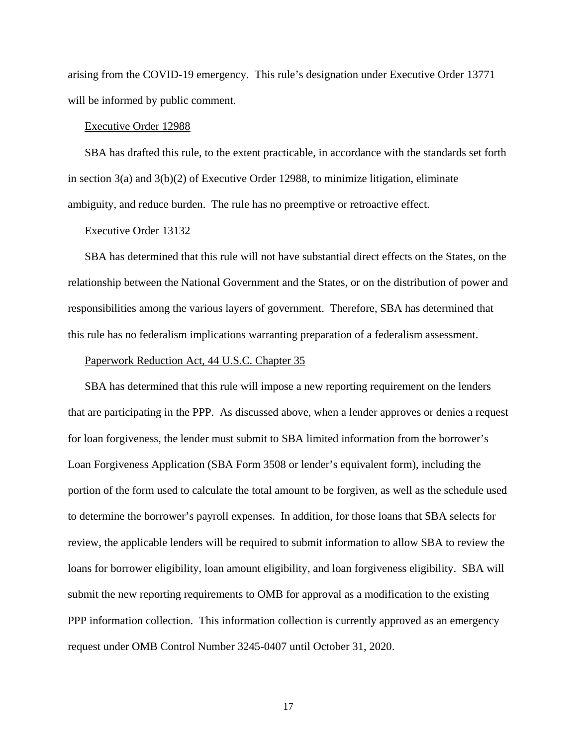arising from the COVID-19 emergency. This rule's designation under Executive Order 13771 will be informed by public comment.

#### Executive Order 12988

SBA has drafted this rule, to the extent practicable, in accordance with the standards set forth in section  $3(a)$  and  $3(b)(2)$  of Executive Order 12988, to minimize litigation, eliminate ambiguity, and reduce burden. The rule has no preemptive or retroactive effect.

#### Executive Order 13132

SBA has determined that this rule will not have substantial direct effects on the States, on the relationship between the National Government and the States, or on the distribution of power and responsibilities among the various layers of government. Therefore, SBA has determined that this rule has no federalism implications warranting preparation of a federalism assessment.

#### Paperwork Reduction Act, 44 U.S.C. Chapter 35

SBA has determined that this rule will impose a new reporting requirement on the lenders that are participating in the PPP. As discussed above, when a lender approves or denies a request for loan forgiveness, the lender must submit to SBA limited information from the borrower's Loan Forgiveness Application (SBA Form 3508 or lender's equivalent form), including the portion of the form used to calculate the total amount to be forgiven, as well as the schedule used to determine the borrower's payroll expenses. In addition, for those loans that SBA selects for review, the applicable lenders will be required to submit information to allow SBA to review the loans for borrower eligibility, loan amount eligibility, and loan forgiveness eligibility. SBA will submit the new reporting requirements to OMB for approval as a modification to the existing PPP information collection. This information collection is currently approved as an emergency request under OMB Control Number 3245-0407 until October 31, 2020.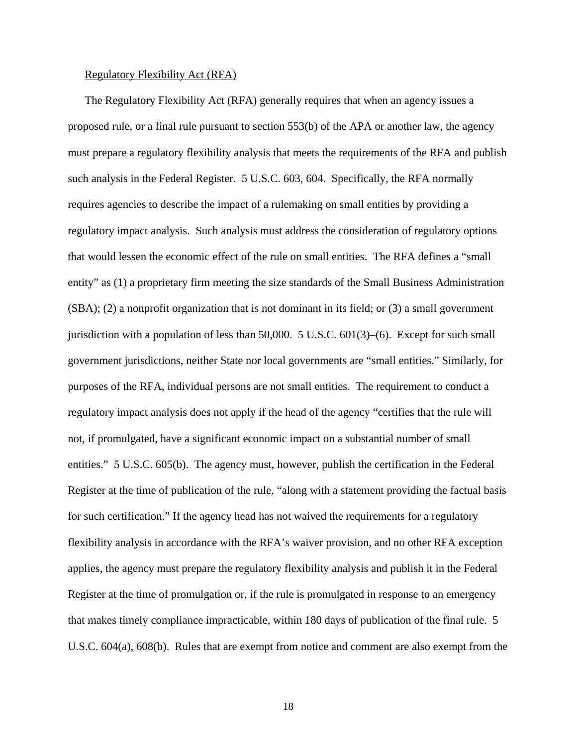## Regulatory Flexibility Act (RFA)

The Regulatory Flexibility Act (RFA) generally requires that when an agency issues a proposed rule, or a final rule pursuant to section 553(b) of the APA or another law, the agency must prepare a regulatory flexibility analysis that meets the requirements of the RFA and publish such analysis in the Federal Register. 5 U.S.C. 603, 604. Specifically, the RFA normally requires agencies to describe the impact of a rulemaking on small entities by providing a regulatory impact analysis. Such analysis must address the consideration of regulatory options that would lessen the economic effect of the rule on small entities. The RFA defines a "small entity" as (1) a proprietary firm meeting the size standards of the Small Business Administration (SBA); (2) a nonprofit organization that is not dominant in its field; or (3) a small government jurisdiction with a population of less than 50,000. 5 U.S.C. 601(3)–(6). Except for such small government jurisdictions, neither State nor local governments are "small entities." Similarly, for purposes of the RFA, individual persons are not small entities. The requirement to conduct a regulatory impact analysis does not apply if the head of the agency "certifies that the rule will not, if promulgated, have a significant economic impact on a substantial number of small entities." 5 U.S.C. 605(b). The agency must, however, publish the certification in the Federal Register at the time of publication of the rule, "along with a statement providing the factual basis for such certification." If the agency head has not waived the requirements for a regulatory flexibility analysis in accordance with the RFA's waiver provision, and no other RFA exception applies, the agency must prepare the regulatory flexibility analysis and publish it in the Federal Register at the time of promulgation or, if the rule is promulgated in response to an emergency that makes timely compliance impracticable, within 180 days of publication of the final rule. 5 U.S.C. 604(a), 608(b). Rules that are exempt from notice and comment are also exempt from the